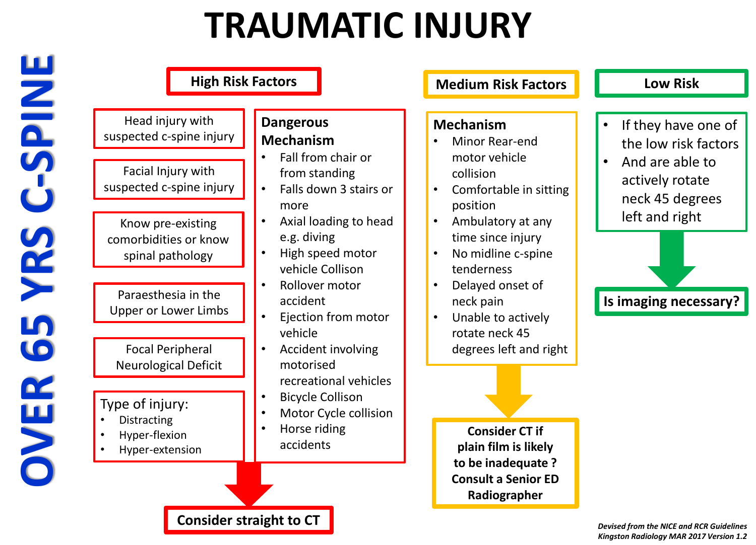## **TRAUMATIC INJURY**

| Head injury with                                                                                                                             |                                                                                                                                                                           |                                                                                                                                                                                                  | <b>Low Risk</b>                                                                                                                     |  |  |
|----------------------------------------------------------------------------------------------------------------------------------------------|---------------------------------------------------------------------------------------------------------------------------------------------------------------------------|--------------------------------------------------------------------------------------------------------------------------------------------------------------------------------------------------|-------------------------------------------------------------------------------------------------------------------------------------|--|--|
| suspected c-spine injury<br>Facial Injury with<br>suspected c-spine injury<br>Know pre-existing<br>comorbidities or know<br>spinal pathology | <b>Dangerous</b><br><b>Mechanism</b><br>Fall from chair or<br>from standing<br>Falls down 3 stairs or<br>more<br>Axial loading to head<br>e.g. diving<br>High speed motor | <b>Mechanism</b><br>Minor Rear-end<br>$\bullet$<br>motor vehicle<br>collision<br>Comfortable in sitting<br>position<br>Ambulatory at any<br>$\bullet$<br>time since injury<br>No midline c-spine | If they have one of<br>the low risk factors<br>And are able to<br>$\bullet$<br>actively rotate<br>neck 45 degrees<br>left and right |  |  |
| Paraesthesia in the<br><b>Upper or Lower Limbs</b><br><b>Focal Peripheral</b>                                                                | vehicle Collison<br>Rollover motor<br>accident<br>Ejection from motor<br>vehicle<br><b>Accident involving</b><br>$\bullet$                                                | tenderness<br>Delayed onset of<br>$\bullet$<br>neck pain<br>Unable to actively<br>$\bullet$<br>rotate neck 45<br>degrees left and right                                                          | Is imaging necessary?                                                                                                               |  |  |
| <b>Neurological Deficit</b><br>Type of injury:<br><b>Distracting</b><br>Hyper-flexion<br>Hyper-extension                                     | motorised<br>recreational vehicles<br><b>Bicycle Collison</b><br>Motor Cycle collision<br>Horse riding<br>accidents                                                       | <b>Consider CT if</b><br>plain film is likely                                                                                                                                                    |                                                                                                                                     |  |  |
|                                                                                                                                              |                                                                                                                                                                           | to be inadequate ?<br><b>Consult a Senior ED</b><br>Radiographer                                                                                                                                 |                                                                                                                                     |  |  |

*Devised from the NICE and RCR Guidelines Kingston Radiology MAR 2017 Version 1.2*